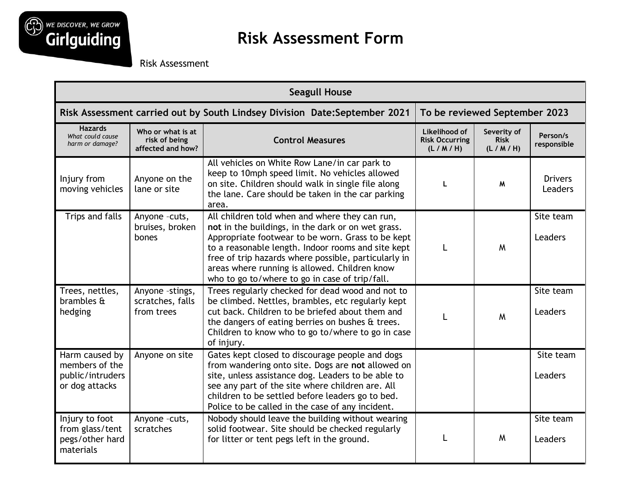

## **Risk Assessment Form**

Risk Assessment

| <b>Seagull House</b>                                                       |                                                         |                                                                                                                                                                                                                                                                                                                                                                            |                                                   |                                       |                             |  |  |
|----------------------------------------------------------------------------|---------------------------------------------------------|----------------------------------------------------------------------------------------------------------------------------------------------------------------------------------------------------------------------------------------------------------------------------------------------------------------------------------------------------------------------------|---------------------------------------------------|---------------------------------------|-----------------------------|--|--|
| Risk Assessment carried out by South Lindsey Division Date: September 2021 |                                                         |                                                                                                                                                                                                                                                                                                                                                                            |                                                   | To be reviewed September 2023         |                             |  |  |
| <b>Hazards</b><br>What could cause<br>harm or damage?                      | Who or what is at<br>risk of being<br>affected and how? | <b>Control Measures</b>                                                                                                                                                                                                                                                                                                                                                    | Likelihood of<br><b>Risk Occurring</b><br>(L/M/H) | Severity of<br><b>Risk</b><br>(L/M/H) | Person/s<br>responsible     |  |  |
| Injury from<br>moving vehicles                                             | Anyone on the<br>lane or site                           | All vehicles on White Row Lane/in car park to<br>keep to 10mph speed limit. No vehicles allowed<br>on site. Children should walk in single file along<br>the lane. Care should be taken in the car parking<br>area.                                                                                                                                                        | $\mathbf{I}$                                      | M                                     | <b>Drivers</b><br>Leaders   |  |  |
| Trips and falls                                                            | Anyone -cuts,<br>bruises, broken<br>bones               | All children told when and where they can run,<br>not in the buildings, in the dark or on wet grass.<br>Appropriate footwear to be worn. Grass to be kept<br>to a reasonable length. Indoor rooms and site kept<br>free of trip hazards where possible, particularly in<br>areas where running is allowed. Children know<br>who to go to/where to go in case of trip/fall. |                                                   | M                                     | Site team<br>Leaders        |  |  |
| Trees, nettles,<br>brambles &<br>hedging                                   | Anyone -stings,<br>scratches, falls<br>from trees       | Trees regularly checked for dead wood and not to<br>be climbed. Nettles, brambles, etc regularly kept<br>cut back. Children to be briefed about them and<br>the dangers of eating berries on bushes & trees.<br>Children to know who to go to/where to go in case<br>of injury.                                                                                            |                                                   | M                                     | Site team<br><b>Leaders</b> |  |  |
| Harm caused by<br>members of the<br>public/intruders<br>or dog attacks     | Anyone on site                                          | Gates kept closed to discourage people and dogs<br>from wandering onto site. Dogs are not allowed on<br>site, unless assistance dog. Leaders to be able to<br>see any part of the site where children are. All<br>children to be settled before leaders go to bed.<br>Police to be called in the case of any incident.                                                     |                                                   |                                       | Site team<br>Leaders        |  |  |
| Injury to foot<br>from glass/tent<br>pegs/other hard<br>materials          | Anyone -cuts,<br>scratches                              | Nobody should leave the building without wearing<br>solid footwear. Site should be checked regularly<br>for litter or tent pegs left in the ground.                                                                                                                                                                                                                        |                                                   | M                                     | Site team<br>Leaders        |  |  |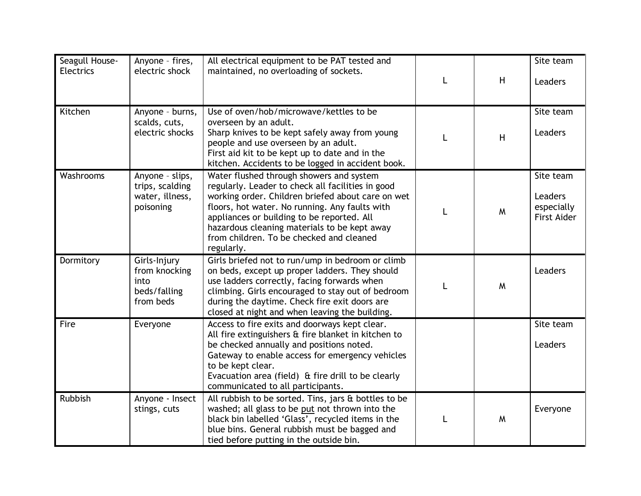| Seagull House-<br><b>Electrics</b> | Anyone - fires,<br>electric shock                                  | All electrical equipment to be PAT tested and<br>maintained, no overloading of sockets.                                                                                                                                                                                                                                                                      | H | Site team<br><b>Leaders</b>                                     |
|------------------------------------|--------------------------------------------------------------------|--------------------------------------------------------------------------------------------------------------------------------------------------------------------------------------------------------------------------------------------------------------------------------------------------------------------------------------------------------------|---|-----------------------------------------------------------------|
| Kitchen                            | Anyone - burns,<br>scalds, cuts,<br>electric shocks                | Use of oven/hob/microwave/kettles to be<br>overseen by an adult.<br>Sharp knives to be kept safely away from young<br>people and use overseen by an adult.<br>First aid kit to be kept up to date and in the<br>kitchen. Accidents to be logged in accident book.                                                                                            | H | Site team<br><b>Leaders</b>                                     |
| Washrooms                          | Anyone - slips,<br>trips, scalding<br>water, illness,<br>poisoning | Water flushed through showers and system<br>regularly. Leader to check all facilities in good<br>working order. Children briefed about care on wet<br>floors, hot water. No running. Any faults with<br>appliances or building to be reported. All<br>hazardous cleaning materials to be kept away<br>from children. To be checked and cleaned<br>regularly. | M | Site team<br><b>Leaders</b><br>especially<br><b>First Aider</b> |
| Dormitory                          | Girls-Injury<br>from knocking<br>into<br>beds/falling<br>from beds | Girls briefed not to run/ump in bedroom or climb<br>on beds, except up proper ladders. They should<br>use ladders correctly, facing forwards when<br>climbing. Girls encouraged to stay out of bedroom<br>during the daytime. Check fire exit doors are<br>closed at night and when leaving the building.                                                    | M | <b>Leaders</b>                                                  |
| Fire                               | Everyone                                                           | Access to fire exits and doorways kept clear.<br>All fire extinguishers & fire blanket in kitchen to<br>be checked annually and positions noted.<br>Gateway to enable access for emergency vehicles<br>to be kept clear.<br>Evacuation area (field) & fire drill to be clearly<br>communicated to all participants.                                          |   | Site team<br><b>Leaders</b>                                     |
| <b>Rubbish</b>                     | Anyone - Insect<br>stings, cuts                                    | All rubbish to be sorted. Tins, jars & bottles to be<br>washed; all glass to be put not thrown into the<br>black bin labelled 'Glass', recycled items in the<br>blue bins. General rubbish must be bagged and<br>tied before putting in the outside bin.                                                                                                     | W | Everyone                                                        |